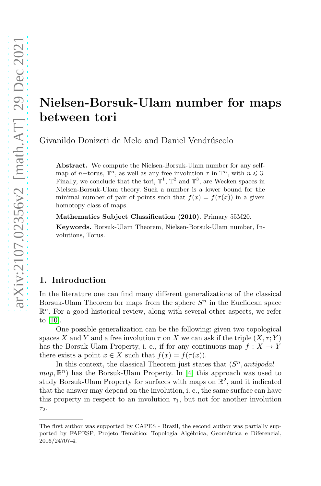# Nielsen-Borsuk-Ulam number for maps between tori

Givanildo Donizeti de Melo and Daniel Vendrúscolo

Abstract. We compute the Nielsen-Borsuk-Ulam number for any selfmap of  $n$ -torus,  $\mathbb{T}^n$ , as well as any free involution  $\tau$  in  $\mathbb{T}^n$ , with  $n \leq 3$ . Finally, we conclude that the tori,  $\mathbb{T}^1$ ,  $\mathbb{T}^2$  and  $\mathbb{T}^3$ , are Wecken spaces in Nielsen-Borsuk-Ulam theory. Such a number is a lower bound for the minimal number of pair of points such that  $f(x) = f(\tau(x))$  in a given homotopy class of maps.

Mathematics Subject Classification (2010). Primary 55M20.

Keywords. Borsuk-Ulam Theorem, Nielsen-Borsuk-Ulam number, Involutions, Torus.

#### 1. Introduction

In the literature one can find many different generalizations of the classical Borsuk-Ulam Theorem for maps from the sphere  $S<sup>n</sup>$  in the Euclidean space  $\mathbb{R}^n$ . For a good historical review, along with several other aspects, we refer to [\[10\]](#page-20-0).

One possible generalization can be the following: given two topological spaces X and Y and a free involution  $\tau$  on X we can ask if the triple  $(X, \tau; Y)$ has the Borsuk-Ulam Property, i. e., if for any continuous map  $f: X \to Y$ there exists a point  $x \in X$  such that  $f(x) = f(\tau(x))$ .

In this context, the classical Theorem just states that  $(S<sup>n</sup>, antipodal)$  $map, \mathbb{R}^n$ ) has the Borsuk-Ulam Property. In [\[4\]](#page-19-0) this approach was used to study Borsuk-Ulam Property for surfaces with maps on  $\mathbb{R}^2$ , and it indicated that the answer may depend on the involution, i. e., the same surface can have this property in respect to an involution  $\tau_1$ , but not for another involution τ2.

The first author was supported by CAPES - Brazil, the second author was partially supported by FAPESP, Projeto Temático: Topologia Algébrica, Geométrica e Diferencial, 2016/24707-4.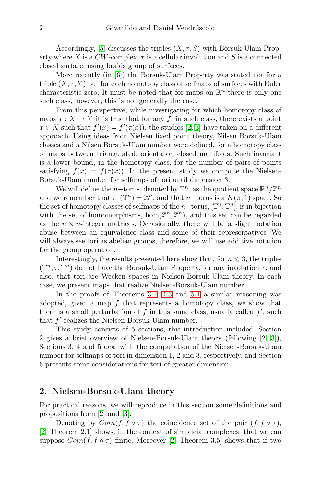Accordingly, [\[5\]](#page-20-1) discusses the triples  $(X, \tau, S)$  with Borsuk-Ulam Property where X is a  $CW$ -complex,  $\tau$  is a cellular involution and S is a connected closed surface, using braids group of surfaces.

More recently (in [\[6\]](#page-20-2)) the Borsuk-Ulam Property was stated not for a triple  $(X, \tau, Y)$  but for each homotopy class of selfmaps of surfaces with Euler characteristic zero. It must be noted that for maps on  $\mathbb{R}^n$  there is only one such class, however, this is not generally the case.

From this perspective, while investigating for which homotopy class of maps  $f: X \to Y$  it is true that for any  $f'$  in such class, there exists a point  $x \in X$  such that  $f'(x) = f'(\tau(x))$ , the studies [\[2,](#page-19-1) [3\]](#page-19-2) have taken on a different approach. Using ideas from Nielsen fixed point theory, Nilsen Borsuk-Ulam classes and a Nilsen Borsuk-Ulam number were defined, for a homotopy class of maps between triangulated, orientable, closed manifolds. Such invariant is a lower bound, in the homotopy class, for the number of pairs of points satisfying  $f(x) = f(\tau(x))$ . In the present study we compute the Nielsen-Borsuk-Ulam number for selfmaps of tori until dimension 3.

We will define the *n*-torus, denoted by  $\mathbb{T}^n$ , as the quotient space  $\mathbb{R}^n/\mathbb{Z}^n$ and we remember that  $\pi_1(\mathbb{T}^n) = \mathbb{Z}^n$ , and that n-torus is a  $K(\pi, 1)$  space. So the set of homotopy classes of selfmaps of the n-torus,  $[\mathbb{T}^n, \mathbb{T}^n]$ , is in bijection with the set of homomorphisms,  $hom(\mathbb{Z}^n, \mathbb{Z}^n)$ , and this set can be regarded as the  $n \times n$ -integer matrices. Occasionally, there will be a slight notation abuse between an equivalence class and some of their representatives. We will always see tori as abelian groups, therefore, we will use additive notation for the group operation.

Interestingly, the results presented here show that, for  $n \leq 3$ , the triples  $(\mathbb{T}^n, \tau, \mathbb{T}^n)$  do not have the Borsuk-Ulam Property, for any involution  $\tau$ , and also, that tori are Wecken spaces in Nielsen-Borsuk-Ulam theory. In each case, we present maps that realize Nielsen-Borsuk-Ulam number.

In the proofs of Theorems [3.1,](#page-4-0) [4.3](#page-5-0) and [5.1](#page-8-0) a similar reasoning was adopted, given a map  $f$  that represents a homotopy class, we show that there is a small perturbation of  $f$  in this same class, usually called  $f'$ , such that  $f'$  realizes the Nielsen-Borsuk-Ulam number.

This study consists of 5 sections, this introduction included. Section 2 gives a brief overview of Nielsen-Borsuk-Ulam theory (following [\[2,](#page-19-1) [3\]](#page-19-2)), Sections 3, 4 and 5 deal with the computation of the Nielsen-Borsuk-Ulam number for selfmaps of tori in dimension 1, 2 and 3, respectively, and Section 6 presents some considerations for tori of greater dimension.

#### 2. Nielsen-Borsuk-Ulam theory

For practical reasons, we will reproduce in this section some definitions and propositions from [\[2\]](#page-19-1) and [\[3\]](#page-19-2).

Denoting by  $Coin(f, f \circ \tau)$  the coincidence set of the pair  $(f, f \circ \tau)$ , [\[2,](#page-19-1) Theorem 2.1] shows, in the context of simplicial complexes, that we can suppose  $Coin(f, f \circ \tau)$  finite. Moreover [\[2,](#page-19-1) Theorem 3.5] shows that if two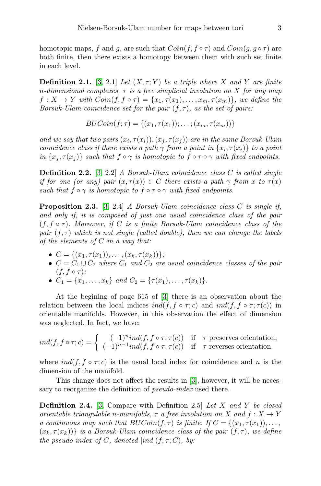homotopic maps, f and g, are such that  $Coin(f, f \circ \tau)$  and  $Coin(g, g \circ \tau)$  are both finite, then there exists a homotopy between them with such set finite in each level.

**Definition 2.1.** [\[3,](#page-19-2) 2.1] *Let*  $(X, \tau; Y)$  *be a triple where* X *and* Y *are finite* n*-dimensional complexes,* τ *is a free simplicial involution on* X *for any map*  $f: X \to Y$  with  $Coin(f, f \circ \tau) = \{x_1, \tau(x_1), \ldots, x_m, \tau(x_m)\}\)$ , we define the *Borsuk-Ulam coincidence set for the pair* (f, τ)*, as the set of pairs:*

$$
BUCoin(f; \tau) = \{(x_1, \tau(x_1)); \ldots; (x_m, \tau(x_m))\}
$$

and we say that two pairs  $(x_i, \tau(x_i)), (x_j, \tau(x_j))$  are in the same Borsuk-Ulam *coincidence class if there exists a path*  $\gamma$  *from a point in*  $\{x_i, \tau(x_i)\}$  *to a point in*  $\{x_i, \tau(x_i)\}$  *such that*  $f \circ \gamma$  *is homotopic to*  $f \circ \tau \circ \gamma$  *with fixed endpoints.* 

Definition 2.2. [\[3,](#page-19-2) 2.2] *A Borsuk-Ulam coincidence class* C *is called single if for one (or any) pair*  $(x, \tau(x)) \in C$  *there exists a path*  $\gamma$  *from* x to  $\tau(x)$ *such that*  $f \circ \gamma$  *is homotopic to*  $f \circ \tau \circ \gamma$  *with fixed endpoints.* 

Proposition 2.3. [\[3,](#page-19-2) 2.4] *A Borsuk-Ulam coincidence class* C *is single if, and only if, it is composed of just one usual coincidence class of the pair* (f, f ◦ τ)*. Moreover, if* C *is a finite Borsuk-Ulam coincidence class of the pair*  $(f, \tau)$  *which is not single (called double), then we can change the labels of the elements of* C *in a way that:*

- $\bullet \ \ C = \{(x_1, \tau(x_1)), \ldots, (x_k, \tau(x_k))\};\$
- $C = C_1 \cup C_2$  *where*  $C_1$  *and*  $C_2$  *are usual coincidence classes of the pair*  $(f, f \circ \tau);$
- $C_1 = \{x_1, \ldots, x_k\}$  and  $C_2 = \{\tau(x_1), \ldots, \tau(x_k)\}.$

At the begining of page 615 of [\[3\]](#page-19-2) there is an observation about the relation between the local indices  $ind(f, f \circ \tau; c)$  and  $ind(f, f \circ \tau; \tau(c))$  in orientable manifolds. However, in this observation the effect of dimension was neglected. In fact, we have:

$$
ind(f, f \circ \tau; c) = \begin{cases} (-1)^{n} ind(f, f \circ \tau; \tau(c)) & \text{if } \tau \text{ preserves orientation,} \\ (-1)^{n-1} ind(f, f \circ \tau; \tau(c)) & \text{if } \tau \text{ reverses orientation.} \end{cases}
$$

where  $ind(f, f \circ \tau; c)$  is the usual local index for coincidence and n is the dimension of the manifold.

This change does not affect the results in [\[3\]](#page-19-2), however, it will be necessary to reorganize the definition of *pseudo-index* used there.

Definition 2.4. [\[3,](#page-19-2) Compare with Definition 2.5] *Let* X *and* Y *be closed orientable triangulable n-manifolds,*  $\tau$  *a free involution on* X *and*  $f: X \rightarrow Y$ *a continuous map such that*  $BUCoin(f, \tau)$  *is finite. If*  $C = \{(x_1, \tau(x_1)), \ldots,$  $(x_k, \tau(x_k))$  *is a Borsuk-Ulam coincidence class of the pair*  $(f, \tau)$ *, we define the pseudo-index of* C, denoted  $|ind|(f, \tau; C)$ , by: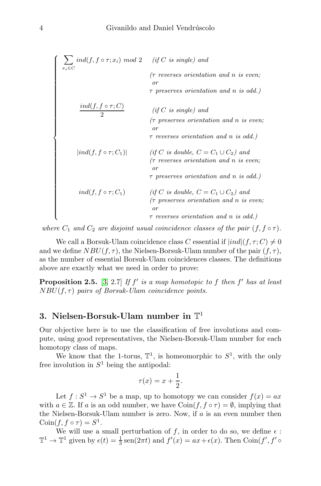$\sqrt{ }$   $\sum$  $x_i \in C$  $ind(f, f \circ \tau; x_i) \ mod \ 2 \ \quad (if \ C \ is \ single) \ and$  $(\tau$  reverses orientation and n is even; or  $\tau$  preserves orientation and n is odd.)  $ind(f, f\circ \tau; C)$ 2 (if C is single) and  $(τ$  preserves orientation and n is even; or  $\tau$  reverses orientation and n is odd.) |ind(f, f  $\circ \tau$ ; C<sub>1</sub>)| (if C is double,  $C = C_1 \cup C_2$ ) and<br>
( $\tau$  reverses orientation and n is ev  $(τ$  reverses orientation and n is even; or τ preserves orientation and n is odd.)  $\tau$  preserves orientation and n is or<br>
ind(f, f ∘  $\tau$ ; C<sub>1</sub>) (if C is double,  $C = C_1 \cup C_2$ ) and<br>
( $\tau$  preserves orientation and n is e<br>
or  $(τ$  preserves orientation and n is even; or  $\tau$  reverses orientation and n is odd.)

*where*  $C_1$  *and*  $C_2$  *are disjoint usual coincidence classes of the pair*  $(f, f \circ \tau)$ *.* 

We call a Borsuk-Ulam coincidence class C essential if  $|ind|(f, \tau; C) \neq 0$ and we define  $NBU(f, \tau)$ , the Nielsen-Borsuk-Ulam number of the pair  $(f, \tau)$ , as the number of essential Borsuk-Ulam coincidences classes. The definitions above are exactly what we need in order to prove:

Proposition 2.5. [\[3,](#page-19-2) 2.7] If  $f'$  is a map homotopic to f then  $f'$  has at least NBU(f, τ) *pairs of Borsuk-Ulam coincidence points.*

### 3. Nielsen-Borsuk-Ulam number in  $\mathbb{T}^1$

Our objective here is to use the classification of free involutions and compute, using good representatives, the Nielsen-Borsuk-Ulam number for each homotopy class of maps.

We know that the 1-torus,  $\mathbb{T}^1$ , is homeomorphic to  $S^1$ , with the only free involution in  $S^1$  being the antipodal:

$$
\tau(x) = x + \frac{1}{2}.
$$

Let  $f: S^1 \to S^1$  be a map, up to homotopy we can consider  $f(x) = ax$ with  $a \in \mathbb{Z}$ . If a is an odd number, we have  $\text{Coin}(f, f \circ \tau) = \emptyset$ , implying that the Nielsen-Borsuk-Ulam number is zero. Now, if  $a$  is an even number then  $\operatorname{Coin}(f, f \circ \tau) = S^1.$ 

We will use a small perturbation of f, in order to do so, we define  $\epsilon$ :  $\mathbb{T}^1 \to \mathbb{T}^1$  given by  $\epsilon(t) = \frac{1}{3} \text{sen}(2\pi t)$  and  $f'(x) = ax + \epsilon(x)$ . Then  $\text{Coin}(f', f')$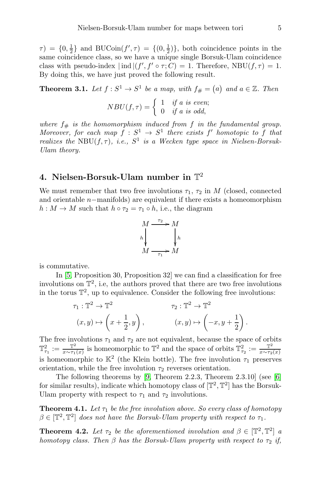$\tau$ ) = {0,  $\frac{1}{2}$ } and BUCoin(f',  $\tau$ ) = {(0,  $\frac{1}{2}$ )}, both coincidence points in the same coincidence class, so we have a unique single Borsuk-Ulam coincidence class with pseudo-index  $|\text{ind}|(f', f' \circ \tau; C) = 1$ . Therefore, NBU $(f, \tau) = 1$ . By doing this, we have just proved the following result.

<span id="page-4-0"></span>**Theorem 3.1.** Let  $f: S^1 \to S^1$  be a map, with  $f# = (a)$  and  $a \in \mathbb{Z}$ . Then

$$
NBU(f,\tau) = \begin{cases} 1 & \text{if } a \text{ is even;} \\ 0 & \text{if } a \text{ is odd,} \end{cases}
$$

where  $f_{\#}$  is the homomorphism induced from f in the fundamental group. *Moreover, for each map*  $f : S^1 \to S^1$  *there exists*  $f'$  *homotopic to*  $f$  *that realizes the* NBU $(f, \tau)$ *, i.e.,*  $S^1$  *is a Wecken type space in Nielsen-Borsuk-Ulam theory.*

### 4. Nielsen-Borsuk-Ulam number in  $\mathbb{T}^2$

We must remember that two free involutions  $\tau_1$ ,  $\tau_2$  in M (closed, connected and orientable n−manifolds) are equivalent if there exists a homeomorphism  $h: M \to M$  such that  $h \circ \tau_2 = \tau_1 \circ h$ , i.e., the diagram



is commutative.

In [\[5,](#page-20-1) Proposition 30, Proposition 32] we can find a classification for free involutions on  $\mathbb{T}^2$ , i.e, the authors proved that there are two free involutions in the torus  $\mathbb{T}^2$ , up to equivalence. Consider the following free involutions:

$$
\tau_1: \mathbb{T}^2 \to \mathbb{T}^2
$$
  
\n
$$
(x, y) \mapsto \left(x + \frac{1}{2}, y\right), \qquad \qquad (x, y) \mapsto \left(-x, y + \frac{1}{2}\right).
$$

The free involutions  $\tau_1$  and  $\tau_2$  are not equivalent, because the space of orbits  $\mathbb{T}^2_{\tau_1} := \frac{\mathbb{T}^2}{x \sim \tau_1}$  $\frac{\mathbb{T}^2}{x \sim \tau_1(x)}$  is homeomorphic to  $\mathbb{T}^2$  and the space of orbits  $\mathbb{T}^2_{\tau_2} := \frac{\mathbb{T}^2}{x \sim \tau_2}$  $x \sim \tau_2(x)$ is homeomorphic to  $\mathbb{K}^2$  (the Klein bottle). The free involution  $\tau_1$  preserves orientation, while the free involution  $\tau_2$  reverses orientation.

The following theorems by [\[9,](#page-20-3) Theorem 2.2.3, Theorem 2.3.10] (see [\[6\]](#page-20-2) for similar results), indicate which homotopy class of  $[\mathbb{T}^2, \mathbb{T}^2]$  has the Borsuk-Ulam property with respect to  $\tau_1$  and  $\tau_2$  involutions.

<span id="page-4-1"></span>**Theorem 4.1.** Let  $\tau_1$  be the free involution above. So every class of homotopy  $\beta \in [\mathbb{T}^2, \mathbb{T}^2]$  does not have the Borsuk-Ulam property with respect to  $\tau_1$ .

<span id="page-4-2"></span>**Theorem 4.2.** Let  $\tau_2$  be the aforementioned involution and  $\beta \in [\mathbb{T}^2, \mathbb{T}^2]$  a *homotopy class. Then*  $\beta$  *has the Borsuk-Ulam property with respect to*  $\tau_2$  *if,*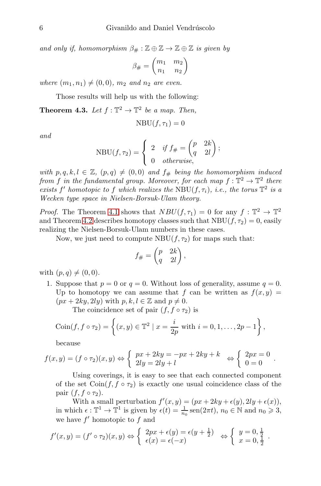*and only if, homomorphism*  $\beta_{\#} : \mathbb{Z} \oplus \mathbb{Z} \to \mathbb{Z} \oplus \mathbb{Z}$  *is given by* 

$$
\beta_{\#}=\begin{pmatrix} m_1&m_2\\n_1&n_2\end{pmatrix}
$$

*where*  $(m_1, n_1) \neq (0, 0)$ *,*  $m_2$  *and*  $n_2$  *are even.* 

Those results will help us with the following:

<span id="page-5-0"></span>**Theorem 4.3.** Let  $f: \mathbb{T}^2 \to \mathbb{T}^2$  be a map. Then,

$$
\mathrm{NBU}(f,\tau_1)=0
$$

*and*

$$
NBU(f, \tau_2) = \begin{cases} 2 & \text{if } f_{\#} = \begin{pmatrix} p & 2k \\ q & 2l \end{pmatrix}; \\ 0 & otherwise, \end{cases}
$$

*with*  $p, q, k, l \in \mathbb{Z}$ ,  $(p, q) \neq (0, 0)$  *and*  $f_{\#}$  *being the homomorphism induced from f* in the fundamental group. Moreover, for each map  $f: \mathbb{T}^2 \to \mathbb{T}^2$  there *exists*  $f'$  *homotopic to*  $f$  *which realizes the* NBU $(f, \tau_i)$ *, i.e., the torus*  $\mathbb{T}^2$  *is a Wecken type space in Nielsen-Borsuk-Ulam theory.*

*Proof.* The Theorem [4.1](#page-4-1) shows that  $NBU(f, \tau_1) = 0$  for any  $f : \mathbb{T}^2 \to \mathbb{T}^2$ and Theorem [4.2](#page-4-2) describes homotopy classes such that  $NBU(f, \tau_2) = 0$ , easily realizing the Nielsen-Borsuk-Ulam numbers in these cases.

Now, we just need to compute  $NBU(f, \tau_2)$  for maps such that:

$$
f_{\#} = \begin{pmatrix} p & 2k \\ q & 2l \end{pmatrix},
$$

<span id="page-5-1"></span>with  $(p, q) \neq (0, 0)$ .

1. Suppose that  $p = 0$  or  $q = 0$ . Without loss of generality, assume  $q = 0$ . Up to homotopy we can assume that f can be written as  $f(x, y) =$  $(px + 2ky, 2ly)$  with  $p, k, l \in \mathbb{Z}$  and  $p \neq 0$ .

The coincidence set of pair  $(f, f \circ \tau_2)$  is

$$
Coin(f, f \circ \tau_2) = \left\{ (x, y) \in \mathbb{T}^2 \mid x = \frac{i}{2p} \text{ with } i = 0, 1, ..., 2p - 1 \right\},\
$$

because

$$
f(x,y) = (f \circ \tau_2)(x,y) \Leftrightarrow \begin{cases} px + 2ky = -px + 2ky + k \\ 2ly = 2ly + l \end{cases} \Leftrightarrow \begin{cases} 2px = 0 \\ 0 = 0 \end{cases}.
$$

Using coverings, it is easy to see that each connected component of the set  $\text{Coin}(f, f \circ \tau_2)$  is exactly one usual coincidence class of the pair  $(f, f \circ \tau_2)$ .

With a small perturbation  $f'(x, y) = (px + 2ky + \epsilon(y), 2ly + \epsilon(x)),$ in which  $\epsilon : \mathbb{T}^1 \to \mathbb{T}^1$  is given by  $\epsilon(t) = \frac{1}{n_0} \operatorname{sen}(2\pi t)$ ,  $n_0 \in \mathbb{N}$  and  $n_0 \geq 3$ , we have  $f'$  homotopic to  $f$  and

$$
f'(x,y) = (f' \circ \tau_2)(x,y) \Leftrightarrow \begin{cases} 2px + \epsilon(y) = \epsilon(y + \frac{1}{2}) \\ \epsilon(x) = \epsilon(-x) \end{cases} \Leftrightarrow \begin{cases} y = 0, \frac{1}{2} \\ x = 0, \frac{1}{2} \end{cases}.
$$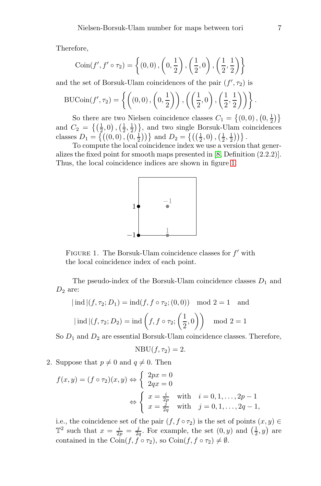Therefore,

$$
Coin(f', f' \circ \tau_2) = \left\{ (0, 0), \left(0, \frac{1}{2}\right), \left(\frac{1}{2}, 0\right), \left(\frac{1}{2}, \frac{1}{2}\right) \right\}
$$

and the set of Borsuk-Ulam coincidences of the pair  $(f', \tau_2)$  is

$$
\text{BUCoin}(f', \tau_2) = \left\{ \left( (0, 0), \left( 0, \frac{1}{2} \right) \right), \left( \left( \frac{1}{2}, 0 \right), \left( \frac{1}{2}, \frac{1}{2} \right) \right) \right\}.
$$

So there are two Nielsen coincidence classes  $C_1 = \{(0,0), (0, \frac{1}{2})\}$ and  $C_2 = \left\{ \left( \frac{1}{2}, 0 \right), \left( \frac{1}{2}, \frac{1}{2} \right) \right\}$ , and two single Borsuk-Ulam coincidences classes  $D_1 = \{((0,0), (0,\frac{1}{2}))\}$  and  $D_2 = \{((\frac{1}{2},0), (\frac{1}{2},\frac{1}{2}))\}$ .

To compute the local coincidence index we use a version that generalizes the fixed point for smooth maps presented in [\[8,](#page-20-4) Definition (2.2.2)]. Thus, the local coincidence indices are shown in figure [1.](#page-5-1)



FIGURE 1. The Borsuk-Ulam coincidence classes for  $f'$  with the local coincidence index of each point.

The pseudo-index of the Borsuk-Ulam coincidence classes  $D_1$  and  $D_2$  are:

$$
|\text{ind}|(f, \tau_2; D_1) = \text{ind}(f, f \circ \tau_2; (0, 0)) \mod 2 = 1
$$
 and

$$
|\operatorname{ind}|(f, \tau_2; D_2) = \operatorname{ind}\left(f, f \circ \tau_2; \left(\frac{1}{2}, 0\right)\right) \mod 2 = 1
$$

So  $D_1$  and  $D_2$  are essential Borsuk-Ulam coincidence classes. Therefore,

$$
NBU(f, \tau_2) = 2.
$$

2. Suppose that  $p \neq 0$  and  $q \neq 0$ . Then

$$
f(x,y) = (f \circ \tau_2)(x,y) \Leftrightarrow \begin{cases} 2px = 0 \\ 2qx = 0 \end{cases}
$$

$$
\Leftrightarrow \begin{cases} x = \frac{i}{2p} & \text{with } i = 0, 1, ..., 2p - 1 \\ x = \frac{j}{2q} & \text{with } j = 0, 1, ..., 2q - 1, \end{cases}
$$

i.e., the coincidence set of the pair  $(f, f \circ \tau_2)$  is the set of points  $(x, y) \in$  $\mathbb{T}^2$  such that  $x = \frac{i}{2p} = \frac{j}{2q}$ . For example, the set  $(0, y)$  and  $(\frac{1}{2}, y)$  are contained in the Coin $(f, f \circ \tau_2)$ , so Coin $(f, f \circ \tau_2) \neq \emptyset$ .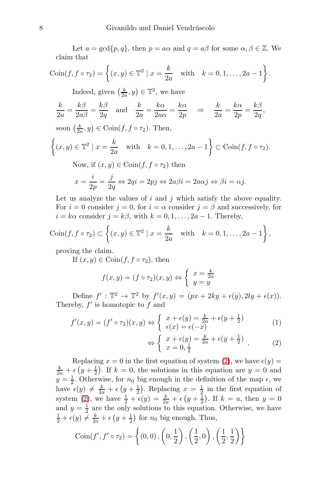Let  $a = \gcd\{p, q\}$ , then  $p = a\alpha$  and  $q = a\beta$  for some  $\alpha, \beta \in \mathbb{Z}$ . We claim that

$$
Coin(f, f \circ \tau_2) = \left\{ (x, y) \in \mathbb{T}^2 \mid x = \frac{k}{2a} \text{ with } k = 0, 1, ..., 2a - 1 \right\}.
$$

Indeed, given  $\left(\frac{k}{2a}, y\right) \in \mathbb{T}^2$ , we have

$$
\frac{k}{2a} = \frac{k\beta}{2a\beta} = \frac{k\beta}{2q} \quad \text{and} \quad \frac{k}{2a} = \frac{k\alpha}{2a\alpha} = \frac{k\alpha}{2p} \quad \Rightarrow \quad \frac{k}{2a} = \frac{k\alpha}{2p} = \frac{k\beta}{2q},
$$

soon  $\left(\frac{k}{2a}, y\right) \in \text{Coin}(f, f \circ \tau_2)$ . Then,

$$
\left\{(x,y)\in\mathbb{T}^2\mid x=\frac{k}{2a} \quad \text{with} \quad k=0,1,\ldots,2a-1\right\}\subset \text{Coin}(f,f\circ\tau_2).
$$

Now, if  $(x, y) \in \text{Coin}(f, f \circ \tau_2)$  then

$$
x = \frac{i}{2p} = \frac{j}{2q} \Leftrightarrow 2qi = 2pj \Leftrightarrow 2a\beta i = 2a\alpha j \Leftrightarrow \beta i = \alpha j.
$$

Let us analyze the values of  $i$  and  $j$  which satisfy the above equality. For  $i = 0$  consider  $j = 0$ , for  $i = \alpha$  consider  $j = \beta$  and successively, for  $i = k\alpha$  consider  $j = k\beta$ , with  $k = 0, 1, \ldots, 2a - 1$ . Thereby,

$$
Coin(f, f \circ \tau_2) \subset \left\{ (x, y) \in \mathbb{T}^2 \mid x = \frac{k}{2a} \quad \text{with} \quad k = 0, 1, \dots, 2a - 1 \right\},\
$$

proving the claim.

If  $(x, y) \in \text{Coin}(f, f \circ \tau_2)$ , then

$$
f(x,y) = (f \circ \tau_2)(x,y) \Leftrightarrow \begin{cases} x = \frac{k}{2a} \\ y = y \end{cases}
$$

Define  $f': \mathbb{T}^2 \to \mathbb{T}^2$  by  $f'(x, y) = (px + 2ky + \epsilon(y), 2ly + \epsilon(x)).$ Thereby,  $f'$  is homotopic to  $f$  and

$$
f'(x,y) = (f' \circ \tau_2)(x,y) \Leftrightarrow \begin{cases} x + \epsilon(y) = \frac{k}{2a} + \epsilon(y + \frac{1}{2}) \\ \epsilon(x) = \epsilon(-x) \end{cases}
$$
 (1)

<span id="page-7-0"></span>
$$
\Leftrightarrow \left\{ \begin{array}{l} x + \epsilon(y) = \frac{k}{2a} + \epsilon(y + \frac{1}{2}) \\ x = 0, \frac{1}{2} \end{array} \right. \tag{2}
$$

Replacing  $x = 0$  in the first equation of system [\(2\)](#page-7-0), we have  $\epsilon(y) =$  $\frac{k}{2a} + \epsilon \left(y + \frac{1}{2}\right)$ . If  $k = 0$ , the solutions in this equation are  $y = 0$  and  $y = \frac{1}{2}$ . Otherwise, for  $n_0$  big enough in the definition of the map  $\epsilon$ , we have  $\epsilon(y) \neq \frac{k}{2a} + \epsilon (y + \frac{1}{2})$ . Replacing  $x = \frac{1}{2}$  in the first equation of system [\(2\)](#page-7-0), we have  $\frac{1}{2} + \epsilon(y) = \frac{k}{2a} + \epsilon (y + \frac{1}{2})$ . If  $k = a$ , then  $y = 0$ and  $y = \frac{1}{2}$  are the only solutions to this equation. Otherwise, we have  $\frac{1}{2} + \epsilon(y) \neq \frac{k}{2a} + \epsilon (y + \frac{1}{2})$  for  $n_0$  big enough. Thus,

$$
Coin(f', f' \circ \tau_2) = \left\{ (0, 0), \left(0, \frac{1}{2}\right), \left(\frac{1}{2}, 0\right), \left(\frac{1}{2}, \frac{1}{2}\right) \right\}
$$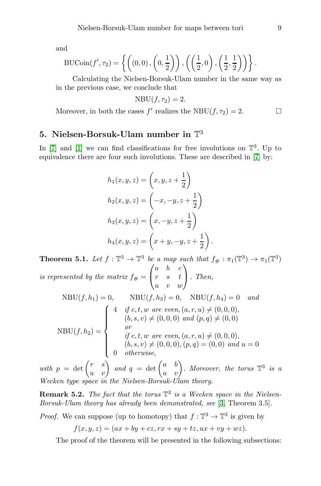and

$$
\text{BUCoin}(f', \tau_2) = \left\{ \left( (0, 0), \left( 0, \frac{1}{2} \right) \right), \left( \left( \frac{1}{2}, 0 \right), \left( \frac{1}{2}, \frac{1}{2} \right) \right) \right\}.
$$

Calculating the Nielsen-Borsuk-Ulam number in the same way as in the previous case, we conclude that

$$
NBU(f, \tau_2) = 2.
$$

Moreover, in both the cases  $f'$  realizes the NBU $(f, \tau_2) = 2$ .

### 5. Nielsen-Borsuk-Ulam number in  $\mathbb{T}^3$

In [\[7\]](#page-20-5) and [\[1\]](#page-19-3) we can find classifications for free involutions on  $\mathbb{T}^3$ . Up to equivalence there are four such involutions. These are described in [\[7\]](#page-20-5) by:

$$
h_1(x, y, z) = \left(x, y, z + \frac{1}{2}\right)
$$
  
\n
$$
h_2(x, y, z) = \left(-x, -y, z + \frac{1}{2}\right)
$$
  
\n
$$
h_3(x, y, z) = \left(x, -y, z + \frac{1}{2}\right)
$$
  
\n
$$
h_4(x, y, z) = \left(x + y, -y, z + \frac{1}{2}\right).
$$

<span id="page-8-0"></span>**Theorem 5.1.** Let  $f: \mathbb{T}^3 \to \mathbb{T}^3$  be a map such that  $f_{\#}: \pi_1(\mathbb{T}^3) \to \pi_1(\mathbb{T}^3)$ *is represented by the matrix*  $f_{\#} =$  $\sqrt{ }$  $\mathbf{I}$  $a \quad b \quad c$  $r \quad s \quad t$  $u \quad v \quad w$  $\setminus$  . *Then,*  $NBU(f, h_1) = 0, \qquad NBU(f, h_3) = 0, \quad NBU(f, h_4) = 0 \quad and$  $\sqrt{ }$ 

$$
NBU(f, h_2) = \begin{cases} 4 & \text{if } c, t, w \text{ are even, } (a, r, u) \neq (0, 0, 0), \\ & (b, s, v) \neq (0, 0, 0) \text{ and } (p, q) \neq (0, 0) \\ & \text{or} \\ & \text{if } c, t, w \text{ are even, } (a, r, u) \neq (0, 0, 0), \\ & (b, s, v) \neq (0, 0, 0), (p, q) = (0, 0) \text{ and } u = 0 \\ 0 & \text{otherwise,} \end{cases}
$$

with  $p = \det \begin{pmatrix} r & s \\ u & v \end{pmatrix}$  and  $q = \det \begin{pmatrix} a & b \\ u & v \end{pmatrix}$ . Moreover, the torus  $\mathbb{T}^3$  is a *Wecken type space in the Nielsen-Borsuk-Ulam theory.*

Remark 5.2. *The fact that the torus* T 3 *is a Wecken space in the Nielsen-Borsuk-Ulam theory has already been demonstrated, see* [\[3,](#page-19-2) Theorem 3.5]*.*

*Proof.* We can suppose (up to homotopy) that  $f: \mathbb{T}^3 \to \mathbb{T}^3$  is given by

$$
f(x, y, z) = (ax + by + cz, rx + sy + tz, ux + vy + wz).
$$

The proof of the theorem will be presented in the following subsections: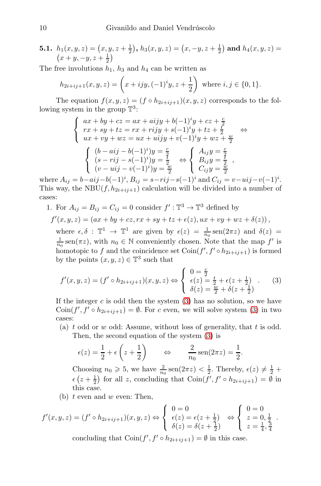**5.1.** 
$$
h_1(x, y, z) = (x, y, z + \frac{1}{2}), h_3(x, y, z) = (x, -y, z + \frac{1}{2})
$$
 and  $h_4(x, y, z) = (x + y, -y, z + \frac{1}{2})$ 

The free involutions  $h_1$ ,  $h_3$  and  $h_4$  can be written as

$$
h_{2i+ij+1}(x,y,z) = \left(x + i j y, (-1)^i y, z + \frac{1}{2}\right)
$$
 where  $i, j \in \{0, 1\}.$ 

The equation  $f(x, y, z) = (f \circ h_{2i+ij+1})(x, y, z)$  corresponds to the following system in the group  $\mathbb{T}^3$ :

$$
\begin{cases}\nax + by + cz = ax + aijy + b(-1)^{i}y + cz + \frac{c}{2} \\
rx + sy + tz = rx + rijy + s(-1)^{i}y + tz + \frac{t}{2} \\
ux + vy + wz = ux + uijy + v(-1)^{i}y + wz + \frac{w}{2} \\
\begin{cases}\n(b - aij - b(-1)^{i})y = \frac{c}{2} \\
(s - rij - s(-1)^{i})y = \frac{t}{2} \\
(v - uij - v(-1)^{i})y = \frac{w}{2}\n\end{cases}\n\Leftrightarrow\n\begin{cases}\nA_{ij}y = \frac{c}{2} \\
B_{ij}y = \frac{t}{2} \\
C_{ij}y = \frac{w}{2}\n\end{cases}
$$

where  $A_{ij} = b - aij - b(-1)^i$ ,  $B_{ij} = s - rij - s(-1)^i$  and  $C_{ij} = v - uij - v(-1)^i$ . This way, the NBU $(f, h_{2i+i,j+1})$  calculation will be divided into a number of cases:

1. For  $A_{ij} = B_{ij} = C_{ij} = 0$  consider  $f' : \mathbb{T}^3 \to \mathbb{T}^3$  defined by

$$
f'(x,y,z) = (ax + by + cz, rx + sy + tz + \epsilon(z), ux + vy + wz + \delta(z)),
$$

where  $\epsilon, \delta : \mathbb{T}^1 \to \mathbb{T}^1$  are given by  $\epsilon(z) = \frac{1}{n_0} \operatorname{sen}(2\pi z)$  and  $\delta(z) =$  $\frac{1}{n_0}$  sen( $\pi z$ ), with  $n_0 \in \mathbb{N}$  conveniently chosen. Note that the map  $f'$  is homotopic to f and the coincidence set  $\text{Coin}(f', f' \circ h_{2i+i,j+1})$  is formed by the points  $(x, y, z) \in \mathbb{T}^3$  such that

<span id="page-9-0"></span>
$$
f'(x, y, z) = (f' \circ h_{2i + ij + 1})(x, y, z) \Leftrightarrow \begin{cases} 0 = \frac{c}{2} \\ \epsilon(z) = \frac{t}{2} + \epsilon(z + \frac{1}{2}) \\ \delta(z) = \frac{w}{2} + \delta(z + \frac{1}{2}) \end{cases} (3)
$$

If the integer  $c$  is odd then the system  $(3)$  has no solution, so we have Coin $(f', f' \circ h_{2i+ij+1}) = \emptyset$ . For c even, we will solve system [\(3\)](#page-9-0) in two cases:

(a) t odd or w odd: Assume, without loss of generality, that t is odd. Then, the second equation of the system [\(3\)](#page-9-0) is

$$
\epsilon(z) = \frac{1}{2} + \epsilon \left(z + \frac{1}{2}\right)
$$
  $\Leftrightarrow$   $\frac{2}{n_0} \operatorname{sen}(2\pi z) = \frac{1}{2}.$ 

Choosing  $n_0 \ge 5$ , we have  $\frac{2}{n_0}$  sen $(2\pi z) < \frac{1}{2}$ . Thereby,  $\epsilon(z) \ne \frac{1}{2}$  +  $\epsilon\left(z+\frac{1}{2}\right)$  for all z, concluding that  $\text{Coin}(f', f' \circ h_{2i+ij+1}) = \emptyset$  in this case.

(b)  $t$  even and  $w$  even: Then,

$$
f'(x, y, z) = (f' \circ h_{2i + ij + 1})(x, y, z) \Leftrightarrow \begin{cases} 0 = 0 \\ \epsilon(z) = \epsilon(z + \frac{1}{2}) \\ \delta(z) = \delta(z + \frac{1}{2}) \end{cases} \Leftrightarrow \begin{cases} 0 = 0 \\ z = 0, \frac{1}{2} \\ z = \frac{1}{4}, \frac{3}{4} \end{cases}
$$

concluding that  $\text{Coin}(f', f' \circ h_{2i+ij+1}) = \emptyset$  in this case.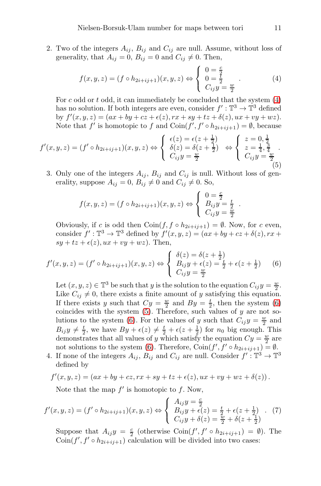2. Two of the integers  $A_{ij}$ ,  $B_{ij}$  and  $C_{ij}$  are null. Assume, without loss of generality, that  $A_{ij} = 0$ ,  $B_{ij} = 0$  and  $C_{ij} \neq 0$ . Then,

<span id="page-10-0"></span>
$$
f(x, y, z) = (f \circ h_{2i + ij + 1})(x, y, z) \Leftrightarrow \begin{cases} 0 = \frac{c}{2} \\ 0 = \frac{t}{2} \\ C_{ij} y = \frac{w}{2} \end{cases} . \tag{4}
$$

For c odd or t odd, it can immediately be concluded that the system  $(4)$ has no solution. If both integers are even, consider  $f': \mathbb{T}^3 \to \mathbb{T}^3$  defined by  $f'(x, y, z) = (ax + by + cz + \epsilon(z), rx + sy + tz + \delta(z), ux + vy + wz).$ Note that  $f'$  is homotopic to f and  $\text{Coin}(f', f' \circ h_{2i+ij+1}) = \emptyset$ , because

<span id="page-10-2"></span>
$$
f'(x,y,z) = (f' \circ h_{2i+ij+1})(x,y,z) \Leftrightarrow \begin{cases} \epsilon(z) = \epsilon(z + \frac{1}{2}) \\ \delta(z) = \delta(z + \frac{1}{2}) \\ C_{ij}y = \frac{w}{2} \end{cases} \Leftrightarrow \begin{cases} z = 0, \frac{1}{2} \\ z = \frac{1}{4}, \frac{3}{4} \\ C_{ij}y = \frac{w}{2} \end{cases}
$$
(5)

3. Only one of the integers  $A_{ij}$ ,  $B_{ij}$  and  $C_{ij}$  is null. Without loss of generality, suppose  $A_{ij} = 0$ ,  $B_{ij} \neq 0$  and  $C_{ij} \neq 0$ . So,

$$
f(x,y,z) = (f \circ h_{2i+ij+1})(x,y,z) \Leftrightarrow \begin{cases} 0 = \frac{c}{2} \\ B_{ij}y = \frac{t}{2} \\ C_{ij}y = \frac{w}{2} \end{cases}
$$

Obviously, if c is odd then  $\text{Coin}(f, f \circ h_{2i+i,j+1}) = \emptyset$ . Now, for c even, consider  $f': \mathbb{T}^3 \to \mathbb{T}^3$  defined by  $f'(x, y, z) = (ax + by + cz + \delta(z), rx + \delta(z))$  $sy + tz + \epsilon(z)$ ,  $ux + vy + wz$ ). Then,

<span id="page-10-1"></span>
$$
f'(x,y,z) = (f' \circ h_{2i+ij+1})(x,y,z) \Leftrightarrow \begin{cases} \delta(z) = \delta(z + \frac{1}{2}) \\ B_{ij}y + \epsilon(z) = \frac{t}{2} + \epsilon(z + \frac{1}{2}) \\ C_{ij}y = \frac{w}{2} \end{cases}
$$
(6)

Let  $(x, y, z) \in \mathbb{T}^3$  be such that y is the solution to the equation  $C_{ij}y = \frac{w}{2}$ . Like  $C_{ij} \neq 0$ , there exists a finite amount of y satisfying this equation. If there exists y such that  $Cy = \frac{w}{2}$  and  $By = \frac{t}{2}$ , then the system [\(6\)](#page-10-1) coincides with the system  $(5)$ . Therefore, such values of y are not so-lutions to the system [\(6\)](#page-10-1). For the values of y such that  $C_{ij}y = \frac{w}{2}$  and  $B_{ij}y \neq \frac{t}{2}$ , we have  $By + \epsilon(z) \neq \frac{t}{2} + \epsilon(z + \frac{1}{2})$  for  $n_0$  big enough. This demonstrates that all values of y which satisfy the equation  $Cy = \frac{w}{2}$  are not solutions to the system [\(6\)](#page-10-1). Therefore,  $\operatorname{Coin}(f', f' \circ h_{2i+ij+1}) = \emptyset$ .

4. If none of the integers  $A_{ij}$ ,  $B_{ij}$  and  $C_{ij}$  are null. Consider  $f':{\mathbb{T}^3}\to{\mathbb{T}^3}$ defined by

$$
f'(x, y, z) = (ax + by + cz, rx + sy + tz + \epsilon(z), ux + vy + wz + \delta(z)).
$$

Note that the map  $f'$  is homotopic to  $f$ . Now,

<span id="page-10-3"></span>
$$
f'(x, y, z) = (f' \circ h_{2i + ij + 1})(x, y, z) \Leftrightarrow \begin{cases} A_{ij}y = \frac{c}{2} \\ B_{ij}y + \epsilon(z) = \frac{t}{2} + \epsilon(z + \frac{1}{2}) \\ C_{ij}y + \delta(z) = \frac{w}{2} + \delta(z + \frac{1}{2}) \end{cases} (7)
$$

Suppose that  $A_{ij}y = \frac{c}{2}$  (otherwise  $\text{Coin}(f', f' \circ h_{2i+ij+1}) = \emptyset$ ). The  $\overline{\text{Coin}}(f', f' \circ h_{2i+ij+1})$  calculation will be divided into two cases:

.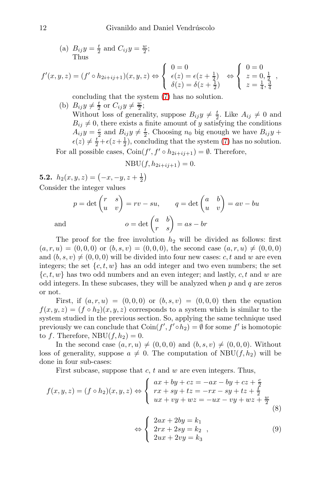(a) 
$$
B_{ij}y = \frac{t}{2}
$$
 and  $C_{ij}y = \frac{w}{2}$ ; Thus

$$
f'(x, y, z) = (f' \circ h_{2i + ij + 1})(x, y, z) \Leftrightarrow \begin{cases} 0 = 0 \\ \epsilon(z) = \epsilon(z + \frac{1}{2}) \\ \delta(z) = \delta(z + \frac{1}{2}) \end{cases} \Leftrightarrow \begin{cases} 0 = 0 \\ z = 0, \frac{1}{2} \\ z = \frac{1}{4}, \frac{3}{4} \end{cases}
$$

concluding that the system [\(7\)](#page-10-3) has no solution.

(b)  $B_{ij}y \neq \frac{t}{2}$  or  $C_{ij}y \neq \frac{w}{2}$ ; Without loss of generality, suppose  $B_{ij}y \neq \frac{t}{2}$ . Like  $A_{ij} \neq 0$  and  $B_{ij} \neq 0$ , there exists a finite amount of y satisfying the conditions  $A_{ij}y = \frac{c}{2}$  and  $B_{ij}y \neq \frac{t}{2}$ . Choosing  $n_0$  big enough we have  $B_{ij}y +$  $\epsilon(z) \neq \frac{t}{2} + \epsilon(z + \frac{1}{2})$ , concluding that the system [\(7\)](#page-10-3) has no solution.

For all possible cases,  $\text{Coin}(f', f' \circ h_{2i+i,j+1}) = \emptyset$ . Therefore,

$$
NBU(f, h_{2i+ij+1}) = 0.
$$

**5.2.**  $h_2(x, y, z) = \left(-x, -y, z + \frac{1}{2}\right)$ Consider the integer values

$$
p = \det\begin{pmatrix} r & s \\ u & v \end{pmatrix} = rv - su, \qquad q = \det\begin{pmatrix} a & b \\ u & v \end{pmatrix} = av - bu
$$
  
and 
$$
o = \det\begin{pmatrix} a & b \\ r & s \end{pmatrix} = as - br
$$

The proof for the free involution  $h_2$  will be divided as follows: first  $(a, r, u) = (0, 0, 0)$  or  $(b, s, v) = (0, 0, 0)$ , the second case  $(a, r, u) \neq (0, 0, 0)$ and  $(b, s, v) \neq (0, 0, 0)$  will be divided into four new cases: c, t and w are even integers; the set  $\{c, t, w\}$  has an odd integer and two even numbers; the set  ${c, t, w}$  has two odd numbers and an even integer; and lastly, c, t and w are odd integers. In these subcases, they will be analyzed when  $p$  and  $q$  are zeros or not.

First, if  $(a, r, u) = (0, 0, 0)$  or  $(b, s, v) = (0, 0, 0)$  then the equation  $f(x, y, z) = (f \circ h_2)(x, y, z)$  corresponds to a system which is similar to the system studied in the previous section. So, applying the same technique used previously we can conclude that  $\text{Coin}(f', f' \circ h_2) = \emptyset$  for some  $f'$  is homotopic to f. Therefore,  $NBU(f, h_2) = 0$ .

In the second case  $(a, r, u) \neq (0, 0, 0)$  and  $(b, s, v) \neq (0, 0, 0)$ . Without loss of generality, suppose  $a \neq 0$ . The computation of NBU(f, h<sub>2</sub>) will be done in four sub-cases:

First subcase, suppose that  $c$ ,  $t$  and  $w$  are even integers. Thus,

$$
f(x, y, z) = (f \circ h_2)(x, y, z) \Leftrightarrow \begin{cases} ax + by + cz = -ax - by + cz + \frac{c}{2} \\ rx + sy + tz = -rx - sy + tz + \frac{t}{2} \\ ux + vy + wz = -ux - vy + wz + \frac{w}{2} \end{cases}
$$
\n
$$
(8)
$$

<span id="page-11-0"></span>
$$
\Leftrightarrow \begin{cases} 2ax + 2by = k_1 \\ 2rx + 2sy = k_2 \\ 2ux + 2vy = k_3 \end{cases}, \tag{9}
$$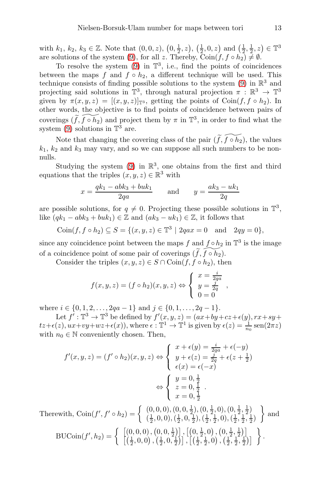with  $k_1, k_2, k_3 \in \mathbb{Z}$ . Note that  $(0, 0, z), (0, \frac{1}{2}, z), (\frac{1}{2}, 0, z)$  and  $(\frac{1}{2}, \frac{1}{2}, z) \in \mathbb{T}^3$ are solutions of the system [\(9\)](#page-11-0), for all z. Thereby,  $\overline{\text{Coin}(f, f \circ h_2)} \neq \emptyset$ .

To resolve the system  $(9)$  in  $\mathbb{T}^3$ , i.e., find the points of coincidences between the maps f and  $f \circ h_2$ , a different technique will be used. This technique consists of finding possible solutions to the system  $(9)$  in  $\mathbb{R}^3$  and projecting said solutions in  $\mathbb{T}^3$ , through natural projection  $\pi : \mathbb{R}^3 \to \mathbb{T}^3$ given by  $\pi(x, y, z) = [(x, y, z)]_{\mathbb{T}^3}$ , getting the points of Coin $(f, f \circ h_2)$ . In other words, the objective is to find points of coincidence between pairs of coverings  $(\widetilde{f},\widetilde{f \circ h_2})$  and project them by  $\pi$  in  $\mathbb{T}^3$ , in order to find what the system  $(9)$  solutions in  $\mathbb{T}^3$  are.

Note that changing the covering class of the pair  $(\widetilde{f},\widetilde{f} \circ \widetilde{h}_2)$ , the values  $k_1$ ,  $k_2$  and  $k_3$  may vary, and so we can suppose all such numbers to be nonnulls.

Studying the system  $(9)$  in  $\mathbb{R}^3$ , one obtains from the first and third equations that the triples  $(x, y, z) \in \mathbb{R}^3$  with

$$
x = \frac{qk_1 - abk_3 + buk_1}{2qa}
$$
 and  $y = \frac{ak_3 - uk_1}{2q}$ 

are possible solutions, for  $q \neq 0$ . Projecting these possible solutions in  $\mathbb{T}^3$ , like  $(qk_1 - abk_3 + buk_1) \in \mathbb{Z}$  and  $(ak_3 - uk_1) \in \mathbb{Z}$ , it follows that

$$
Coin(f, f \circ h_2) \subseteq S = \{(x, y, z) \in \mathbb{T}^3 \mid 2qax = 0 \text{ and } 2qy = 0\},\
$$

since any coincidence point between the maps f and  $f \circ h_2$  in  $\mathbb{T}^3$  is the image of a coincidence point of some pair of coverings  $(\widetilde{f},\widetilde{f \circ h_2})$ .

Consider the triples  $(x, y, z) \in S \cap \text{Coin}(f, f \circ h_2)$ , then

$$
f(x, y, z) = (f \circ h_2)(x, y, z) \Leftrightarrow \begin{cases} x = \frac{i}{2qa} \\ y = \frac{j}{2q} \\ 0 = 0 \end{cases}
$$

where  $i \in \{0, 1, 2, \ldots, 2qa - 1\}$  and  $j \in \{0, 1, \ldots, 2q - 1\}$ .

Let  $f^{\prime} : \mathbb{T}^3 \to \mathbb{T}^3$  be defined by  $f'(x, y, z) = (ax + by + cz + \epsilon(y), rx + sy +$  $tz+\epsilon(z), ux+vy+wz+\epsilon(x)),$  where  $\epsilon : \mathbb{T}^1 \to \mathbb{T}^1$  is given by  $\epsilon(z) = \frac{1}{n_0} \operatorname{sen}(2\pi z)$ with  $n_0 \in \mathbb{N}$  conveniently chosen. Then,

$$
f'(x, y, z) = (f' \circ h_2)(x, y, z) \Leftrightarrow \begin{cases} x + \epsilon(y) = \frac{i}{2qa} + \epsilon(-y) \\ y + \epsilon(z) = \frac{j}{2q} + \epsilon(z + \frac{1}{2}) \\ \epsilon(x) = \epsilon(-x) \end{cases}
$$

$$
\Leftrightarrow \begin{cases} y = 0, \frac{1}{2} \\ z = 0, \frac{1}{2} \\ x = 0, \frac{1}{2} \end{cases}
$$
Therefore,  
Therefore,  
The result, 
$$
\text{Coin}(f', f' \circ h_2) = \begin{cases} (0, 0, 0), (0, 0, \frac{1}{2}), (0, \frac{1}{2}, 0), (0, \frac{1}{2}, \frac{1}{2}) \\ (\frac{1}{2}, 0, 0), (\frac{1}{2}, 0, \frac{1}{2}), (\frac{1}{2}, \frac{1}{2}, 0), (\frac{1}{2}, \frac{1}{2}, \frac{1}{2}) \end{cases}
$$
 and

$$
\text{BUCoin}(f', h_2) = \left\{ \begin{array}{c} \left[ (0, 0, 0) \, , \, (0, 0, \frac{1}{2}) \right], \left[ \left( 0, \frac{1}{2}, 0 \right) \, , \left( 0, \frac{1}{2}, \frac{1}{2} \right) \right] \\ \left[ \left( \frac{1}{2}, 0, 0 \right) \, , \left( \frac{1}{2}, 0, \frac{1}{2} \right) \right], \left[ \left( \frac{1}{2}, \frac{1}{2}, 0 \right) \, , \left( \frac{1}{2}, \frac{1}{2}, \frac{1}{2} \right) \right] \end{array} \right\}.
$$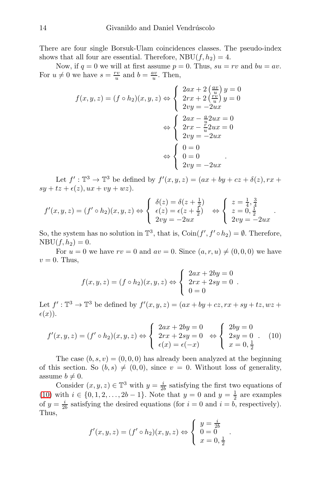There are four single Borsuk-Ulam coincidences classes. The pseudo-index shows that all four are essential. Therefore,  $NBU(f, h_2) = 4$ .

Now, if  $q = 0$  we will at first assume  $p = 0$ . Thus,  $su = rv$  and  $bu = av$ . For  $u \neq 0$  we have  $s = \frac{rv}{u}$  and  $b = \frac{av}{u}$ . Then,

$$
f(x, y, z) = (f \circ h_2)(x, y, z) \Leftrightarrow \begin{cases} 2ax + 2\left(\frac{av}{u}\right)y = 0\\ 2rx + 2\left(\frac{rv}{u}\right)y = 0\\ 2vy = -2ux \end{cases}
$$

$$
\Leftrightarrow \begin{cases} 2ax - \frac{a}{u}2ux = 0\\ 2rx - \frac{r}{u}2ux = 0\\ 2vy = -2ux \end{cases}
$$

$$
\Leftrightarrow \begin{cases} 0 = 0\\ 0 = 0\\ 2vy = -2ux \end{cases}
$$

Let  $f': \mathbb{T}^3 \to \mathbb{T}^3$  be defined by  $f'(x, y, z) = (ax + by + cz + \delta(z), rx + \delta(z))$  $sy + tz + \epsilon(z), ux + vy + wz).$ 

$$
f'(x,y,z) = (f' \circ h_2)(x,y,z) \Leftrightarrow \begin{cases} \delta(z) = \delta(z + \frac{1}{2}) \\ \epsilon(z) = \epsilon(z + \frac{1}{2}) \\ 2vy = -2ux \end{cases} \Leftrightarrow \begin{cases} z = \frac{1}{4}, \frac{3}{4} \\ z = 0, \frac{1}{2} \\ 2vy = -2ux \end{cases}
$$

.

So, the system has no solution in  $\mathbb{T}^3$ , that is,  $\text{Coin}(f', f' \circ h_2) = \emptyset$ . Therefore,  $NBU(f, h_2) = 0.$ 

For  $u = 0$  we have  $rv = 0$  and  $av = 0$ . Since  $(a, r, u) \neq (0, 0, 0)$  we have  $v = 0$ . Thus,

$$
f(x, y, z) = (f \circ h_2)(x, y, z) \Leftrightarrow \begin{cases} 2ax + 2by = 0 \\ 2rx + 2sy = 0 \\ 0 = 0 \end{cases}.
$$

Let  $f': \mathbb{T}^3 \to \mathbb{T}^3$  be defined by  $f'(x, y, z) = (ax + by + cz, rx + sy + tz, wz +$  $\epsilon(x)$ .

<span id="page-13-0"></span>
$$
f'(x,y,z) = (f' \circ h_2)(x,y,z) \Leftrightarrow \begin{cases} 2ax + 2by = 0 \\ 2rx + 2sy = 0 \\ \epsilon(x) = \epsilon(-x) \end{cases} \Leftrightarrow \begin{cases} 2by = 0 \\ 2sy = 0 \\ x = 0, \frac{1}{2} \end{cases} (10)
$$

The case  $(b, s, v) = (0, 0, 0)$  has already been analyzed at the beginning of this section. So  $(b, s) \neq (0, 0)$ , since  $v = 0$ . Without loss of generality, assume  $b \neq 0$ .

Consider  $(x, y, z) \in \mathbb{T}^3$  with  $y = \frac{i}{2b}$  satisfying the first two equations of [\(10\)](#page-13-0) with  $i \in \{0, 1, 2, ..., 2b - 1\}$ . Note that  $y = 0$  and  $y = \frac{1}{2}$  are examples of  $y = \frac{i}{2b}$  satisfying the desired equations (for  $i = 0$  and  $i = b$ , respectively). Thus,

$$
f'(x, y, z) = (f' \circ h_2)(x, y, z) \Leftrightarrow \begin{cases} y = \frac{i}{2b} \\ 0 = 0 \\ x = 0, \frac{1}{2} \end{cases}
$$

.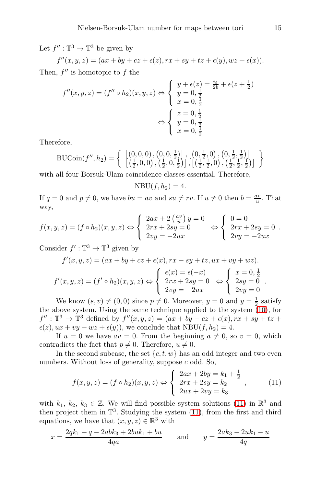Let  $f'' : \mathbb{T}^3 \to \mathbb{T}^3$  be given by

 $f''(x, y, z) = (ax + by + cz + \epsilon(z), rx + sy + tz + \epsilon(y), wz + \epsilon(x)).$ Then,  $f''$  is homotopic to  $f$  the

$$
f''(x, y, z) = (f'' \circ h_2)(x, y, z) \Leftrightarrow \begin{cases} y + \epsilon(z) = \frac{i\theta}{2b} + \epsilon(z + \frac{1}{2}) \\ y = 0, \frac{1}{2} \\ x = 0, \frac{1}{2} \end{cases}
$$

$$
\Leftrightarrow \begin{cases} z = 0, \frac{1}{2} \\ y = 0, \frac{1}{2} \\ x = 0, \frac{1}{2} \end{cases}
$$

Therefore,

$$
\text{BUCoin}(f'', h_2) = \left\{ \begin{array}{c} \left[ (0, 0, 0), (0, 0, \frac{1}{2}) \right], \left[ (0, \frac{1}{2}, 0), (0, \frac{1}{2}, \frac{1}{2}) \right] \\ \left[ (\frac{1}{2}, 0, 0), (\frac{1}{2}, 0, \frac{1}{2}) \right], \left[ (\frac{1}{2}, \frac{1}{2}, 0), (\frac{1}{2}, \frac{1}{2}, \frac{1}{2}) \right] \end{array} \right\}
$$

with all four Borsuk-Ulam coincidence classes essential. Therefore,

$$
NBU(f, h_2) = 4.
$$

If  $q = 0$  and  $p \neq 0$ , we have  $bu = av$  and  $su \neq rv$ . If  $u \neq 0$  then  $b = \frac{av}{u}$ . That way,

$$
f(x,y,z) = (f \circ h_2)(x,y,z) \Leftrightarrow \begin{cases} 2ax + 2\left(\frac{av}{u}\right)y = 0 \\ 2rx + 2sy = 0 \\ 2vy = -2ux \end{cases} \Leftrightarrow \begin{cases} 0 = 0 \\ 2rx + 2sy = 0 \\ 2vy = -2ux \end{cases}.
$$

Consider  $f': \mathbb{T}^3 \to \mathbb{T}^3$  given by

$$
f'(x, y, z) = (ax + by + cz + \epsilon(x), rx + sy + tz, ux + vy + wz).
$$
  

$$
f'(x, y, z) = (f' \circ h_2)(x, y, z) \Leftrightarrow \begin{cases} \epsilon(x) = \epsilon(-x) \\ 2rx + 2sy = 0 \\ 2vy = -2ux \end{cases} \Leftrightarrow \begin{cases} x = 0, \frac{1}{2} \\ 2sy = 0 \\ 2vy = 0 \end{cases}.
$$

We know  $(s, v) \neq (0, 0)$  since  $p \neq 0$ . Moreover,  $y = 0$  and  $y = \frac{1}{2}$  satisfy the above system. Using the same technique applied to the system [\(10\)](#page-13-0), for  $f'' : \mathbb{T}^3 \to \mathbb{T}^3$  defined by  $f''(x, y, z) = (ax + by + cz + \epsilon(x), rx + sy + tz +$  $\epsilon(z)$ ,  $ux + vy + wz + \epsilon(y)$ , we conclude that  $NBU(f, h_2) = 4$ .

If  $u = 0$  we have  $av = 0$ . From the beginning  $a \neq 0$ , so  $v = 0$ , which contradicts the fact that  $p \neq 0$ . Therefore,  $u \neq 0$ .

In the second subcase, the set  $\{c, t, w\}$  has an odd integer and two even numbers. Without loss of generality, suppose c odd. So,

<span id="page-14-0"></span>
$$
f(x,y,z) = (f \circ h_2)(x,y,z) \Leftrightarrow \begin{cases} 2ax + 2by = k_1 + \frac{1}{2} \\ 2rx + 2sy = k_2 \\ 2ux + 2vy = k_3 \end{cases},
$$
 (11)

with  $k_1, k_2, k_3 \in \mathbb{Z}$ . We will find possible system solutions [\(11\)](#page-14-0) in  $\mathbb{R}^3$  and then project them in  $\mathbb{T}^3$ . Studying the system [\(11\)](#page-14-0), from the first and third equations, we have that  $(x, y, z) \in \mathbb{R}^3$  with

$$
x = \frac{2qk_1 + q - 2abk_3 + 2buk_1 + bu}{4qa} \quad \text{and} \quad y = \frac{2ak_3 - 2uk_1 - u}{4q}
$$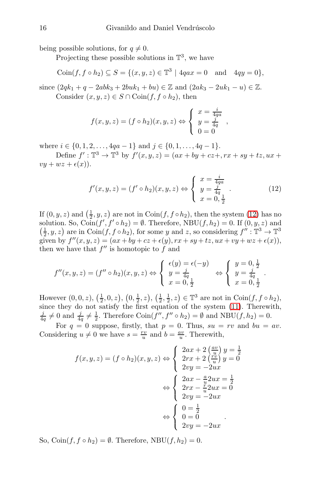being possible solutions, for  $q \neq 0$ .

Projecting these possible solutions in  $\mathbb{T}^3$ , we have

$$
Coin(f, f \circ h_2) \subseteq S = \{(x, y, z) \in \mathbb{T}^3 \mid 4qax = 0 \text{ and } 4qy = 0\},\
$$

since  $(2qk_1 + q - 2abk_3 + 2buk_1 + bu) \in \mathbb{Z}$  and  $(2ak_3 - 2uk_1 - u) \in \mathbb{Z}$ . Consider  $(x, y, z) \in S \cap \text{Coin}(f, f \circ h_2)$ , then

$$
f(x,y,z) = (f \circ h_2)(x,y,z) \Leftrightarrow \begin{cases} x = \frac{i}{4qa} \\ y = \frac{j}{4q} \\ 0 = 0 \end{cases}
$$

where  $i \in \{0, 1, 2, \ldots, 4qa - 1\}$  and  $j \in \{0, 1, \ldots, 4q - 1\}$ .

Define  $f' : \mathbb{T}^3 \to \mathbb{T}^3$  by  $f'(x, y, z) = (ax + by + cz +, rx + sy + tz, ux +$  $vu + wz + \epsilon(x)$ ).

<span id="page-15-0"></span>
$$
f'(x, y, z) = (f' \circ h_2)(x, y, z) \Leftrightarrow \begin{cases} x = \frac{i}{4g} \\ y = \frac{j}{4g} \\ x = 0, \frac{1}{2} \end{cases} . \tag{12}
$$

.

If  $(0, y, z)$  and  $\left(\frac{1}{2}, y, z\right)$  are not in Coin $(f, f \circ h_2)$ , then the system [\(12\)](#page-15-0) has no solution. So,  $\widehat{\text{Coin}}(f', f' \circ h_2) = \emptyset$ . Therefore,  $\text{NBU}(f, h_2) = 0$ . If  $(0, y, z)$  and  $\left(\frac{1}{2}, y, z\right)$  are in Coin $(f, f \circ h_2)$ , for some y and z, so considering  $f'' : \mathbb{T}^3 \to \mathbb{T}^3$ given by  $f''(x, y, z) = (ax + by + cz + \epsilon(y), rx + sy + tz, ux + vy + wz + \epsilon(x)),$ then we have that  $f''$  is homotopic to  $f$  and

$$
f''(x, y, z) = (f'' \circ h_2)(x, y, z) \Leftrightarrow \begin{cases} \epsilon(y) = \epsilon(-y) \\ y = \frac{j}{4q} \\ x = 0, \frac{1}{2} \end{cases} \Leftrightarrow \begin{cases} y = 0, \frac{1}{2} \\ y = \frac{j}{4q} \\ x = 0, \frac{1}{2} \end{cases}
$$

However  $(0,0,z)$ ,  $(\frac{1}{2},0,z)$ ,  $(0,\frac{1}{2},z)$ ,  $(\frac{1}{2},\frac{1}{2},z) \in \mathbb{T}^3$  are not in Coin $(f, f \circ h_2)$ , EXECT  $(0,0,2), (2,0,2), (2,2,2), (2,2,2) \subseteq \mathbb{R}$  are not in  $\text{Com}(J, J \cap \mathbb{R}^2)$ , since they do not satisfy the first equation of the system [\(11\)](#page-14-0). Therewith,  $\frac{j}{4q} \neq 0$  and  $\frac{j}{4q} \neq \frac{1}{2}$ . Therefore Coin $(f'', f'' \circ h_2) = \emptyset$  and NBU $(f, h_2) = 0$ .

For  $q = 0$  suppose, firstly, that  $p = 0$ . Thus,  $su = rv$  and  $bu = av$ . Considering  $u \neq 0$  we have  $s = \frac{rv}{u}$  and  $b = \frac{av}{u}$ . Therewith,

$$
f(x, y, z) = (f \circ h_2)(x, y, z) \Leftrightarrow \begin{cases} 2ax + 2\left(\frac{av}{u}\right)y = \frac{1}{2} \\ 2rx + 2\left(\frac{rv}{u}\right)y = 0 \\ 2vy = -2ux \end{cases}
$$

$$
\Leftrightarrow \begin{cases} 2ax - \frac{a}{v}2ux = \frac{1}{2} \\ 2rx - \frac{r}{u}2ux = 0 \\ 2vy = -2ux \end{cases}
$$

$$
\Leftrightarrow \begin{cases} 0 = \frac{1}{2} \\ 0 = 0 \\ 2vy = -2ux \end{cases}
$$

So,  $\text{Coin}(f, f \circ h_2) = \emptyset$ . Therefore, NBU $(f, h_2) = 0$ .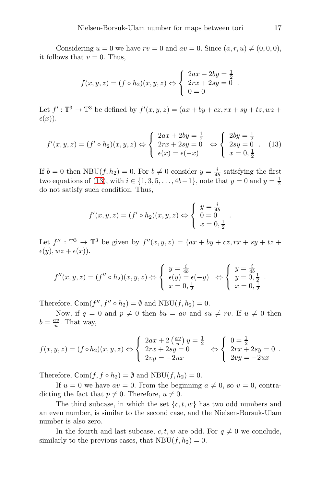Considering  $u = 0$  we have  $rv = 0$  and  $av = 0$ . Since  $(a, r, u) \neq (0, 0, 0)$ , it follows that  $v = 0$ . Thus,

$$
f(x, y, z) = (f \circ h_2)(x, y, z) \Leftrightarrow \begin{cases} 2ax + 2by = \frac{1}{2} \\ 2rx + 2sy = 0 \\ 0 = 0 \end{cases}.
$$

Let  $f': \mathbb{T}^3 \to \mathbb{T}^3$  be defined by  $f'(x, y, z) = (ax + by + cz, rx + sy + tz, wz +$  $\epsilon(x)$ .

<span id="page-16-0"></span>
$$
f'(x, y, z) = (f' \circ h_2)(x, y, z) \Leftrightarrow \begin{cases} 2ax + 2by = \frac{1}{2} \\ 2rx + 2sy = 0 \\ \epsilon(x) = \epsilon(-x) \end{cases} \Leftrightarrow \begin{cases} 2by = \frac{1}{2} \\ 2sy = 0 \\ x = 0, \frac{1}{2} \end{cases} (13)
$$

If  $b = 0$  then NBU(f, h<sub>2</sub>) = 0. For  $b \neq 0$  consider  $y = \frac{i}{4b}$  satisfying the first two equations of [\(13\)](#page-16-0), with  $i \in \{1, 3, 5, ..., 4b-1\}$ , note that  $y = 0$  and  $y = \frac{1}{2}$ do not satisfy such condition. Thus,

$$
f'(x, y, z) = (f' \circ h_2)(x, y, z) \Leftrightarrow \begin{cases} y = \frac{i}{4b} \\ 0 = 0 \\ x = 0, \frac{1}{2} \end{cases}
$$

.

.

Let  $f'': \mathbb{T}^3 \to \mathbb{T}^3$  be given by  $f''(x, y, z) = (ax + by + cz, rx + sy + tz + z)$  $\epsilon(y), wz + \epsilon(x)).$ 

$$
f''(x, y, z) = (f'' \circ h_2)(x, y, z) \Leftrightarrow \begin{cases} y = \frac{i}{4b} \\ \epsilon(y) = \epsilon(-y) \\ x = 0, \frac{1}{2} \end{cases} \Leftrightarrow \begin{cases} y = \frac{i}{4b} \\ y = 0, \frac{1}{2} \\ x = 0, \frac{1}{2} \end{cases}
$$

Therefore,  $\text{Coin}(f'', f'' \circ h_2) = \emptyset$  and  $\text{NBU}(f, h_2) = 0$ .

Now, if  $q = 0$  and  $p \neq 0$  then  $bu = av$  and  $su \neq rv$ . If  $u \neq 0$  then  $b = \frac{av}{u}$ . That way,

$$
f(x,y,z) = (f \circ h_2)(x,y,z) \Leftrightarrow \begin{cases} 2ax + 2\left(\frac{av}{u}\right)y = \frac{1}{2} \\ 2rx + 2sy = 0 \\ 2vy = -2ux \end{cases} \Leftrightarrow \begin{cases} 0 = \frac{1}{2} \\ 2rx + 2sy = 0 \\ 2vy = -2ux \end{cases}.
$$

Therefore,  $\text{Coin}(f, f \circ h_2) = \emptyset$  and  $\text{NBU}(f, h_2) = 0$ .

If  $u = 0$  we have  $av = 0$ . From the beginning  $a \neq 0$ , so  $v = 0$ , contradicting the fact that  $p \neq 0$ . Therefore,  $u \neq 0$ .

The third subcase, in which the set  $\{c, t, w\}$  has two odd numbers and an even number, is similar to the second case, and the Nielsen-Borsuk-Ulam number is also zero.

In the fourth and last subcase,  $c, t, w$  are odd. For  $q \neq 0$  we conclude, similarly to the previous cases, that  $NBU(f, h_2) = 0$ .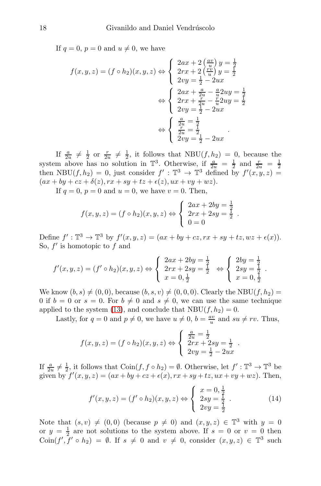If  $q = 0$ ,  $p = 0$  and  $u \neq 0$ , we have

$$
f(x,y,z) = (f \circ h_2)(x,y,z) \Leftrightarrow \begin{cases} 2ax + 2\left(\frac{av}{u}\right)y = \frac{1}{2} \\ 2rx + 2\left(\frac{rv}{u}\right)y = \frac{1}{2} \\ 2vy = \frac{1}{2} - 2ux \end{cases}
$$

$$
\Leftrightarrow \begin{cases} 2ax + \frac{a}{2u} - \frac{a}{u}2uy = \frac{1}{2} \\ 2rx + \frac{r}{2u} - \frac{r}{u}2uy = \frac{1}{2} \\ 2vy = \frac{1}{2} - 2ux \end{cases}
$$

$$
\Leftrightarrow \begin{cases} \frac{a}{2u} = \frac{1}{2} \\ \frac{r}{2u} = \frac{1}{2} \\ 2vy = \frac{1}{2} - 2ux \end{cases}
$$

If  $\frac{a}{2u} \neq \frac{1}{2}$  or  $\frac{r}{2u} \neq \frac{1}{2}$ , it follows that NBU(f, h<sub>2</sub>) = 0, because the system above has no solution in  $\mathbb{T}^3$ . Otherwise, if  $\frac{a}{2u} = \frac{1}{2}$  and  $\frac{r}{2u} = \frac{1}{2}$  then NBU( $f, h_2$ ) = 0, just consider  $f' : \mathbb{T}^3 \to \mathbb{T}^3$  defined by  $f'(x, y, z)$  =  $(ax + by + cz + \delta(z), rx + sy + tz + \epsilon(z), ux + vy + wz).$ 

If  $q = 0$ ,  $p = 0$  and  $u = 0$ , we have  $v = 0$ . Then,

$$
f(x, y, z) = (f \circ h_2)(x, y, z) \Leftrightarrow \begin{cases} 2ax + 2by = \frac{1}{2} \\ 2rx + 2sy = \frac{1}{2} \\ 0 = 0 \end{cases}.
$$

Define  $f': \mathbb{T}^3 \to \mathbb{T}^3$  by  $f'(x, y, z) = (ax + by + cz, rx + sy + tz, wz + \epsilon(x)).$ So,  $f'$  is homotopic to  $f$  and

$$
f'(x, y, z) = (f' \circ h_2)(x, y, z) \Leftrightarrow \begin{cases} 2ax + 2by = \frac{1}{2} \\ 2rx + 2sy = \frac{1}{2} \\ x = 0, \frac{1}{2} \end{cases} \Leftrightarrow \begin{cases} 2by = \frac{1}{2} \\ 2sy = \frac{1}{2} \\ x = 0, \frac{1}{2} \end{cases}.
$$

We know  $(b, s) \neq (0, 0)$ , because  $(b, s, v) \neq (0, 0, 0)$ . Clearly the NBU $(f, h_2)$  = 0 if  $b = 0$  or  $s = 0$ . For  $b \neq 0$  and  $s \neq 0$ , we can use the same technique applied to the system [\(13\)](#page-16-0), and conclude that  $NBU(f, h_2) = 0$ .

Lastly, for  $q = 0$  and  $p \neq 0$ , we have  $u \neq 0$ ,  $b = \frac{av}{u}$  and  $su \neq rv$ . Thus,

$$
f(x, y, z) = (f \circ h_2)(x, y, z) \Leftrightarrow \begin{cases} \frac{a}{2u} = \frac{1}{2} \\ 2rx + 2sy = \frac{1}{2} \\ 2vy = \frac{1}{2} - 2ux \end{cases}.
$$

If  $\frac{a}{2u} \neq \frac{1}{2}$ , it follows that  $\text{Coin}(f, f \circ h_2) = \emptyset$ . Otherwise, let  $f' : \mathbb{T}^3 \to \mathbb{T}^3$  be given by  $f'(x, y, z) = (ax + by + cz + \epsilon(x), rx + sy + tz, ux + vy + wz)$ . Then,

<span id="page-17-0"></span>
$$
f'(x, y, z) = (f' \circ h_2)(x, y, z) \Leftrightarrow \begin{cases} x = 0, \frac{1}{2} \\ 2sy = \frac{1}{2} \\ 2vy = \frac{1}{2} \end{cases} .
$$
 (14)

Note that  $(s, v) \neq (0, 0)$  (because  $p \neq 0$ ) and  $(x, y, z) \in \mathbb{T}^3$  with  $y = 0$ or  $y = \frac{1}{2}$  are not solutions to the system above. If  $s = 0$  or  $v = 0$  then  $\text{Coin}(f', f' \circ h_2) = \emptyset$ . If  $s \neq 0$  and  $v \neq 0$ , consider  $(x, y, z) \in \mathbb{T}^3$  such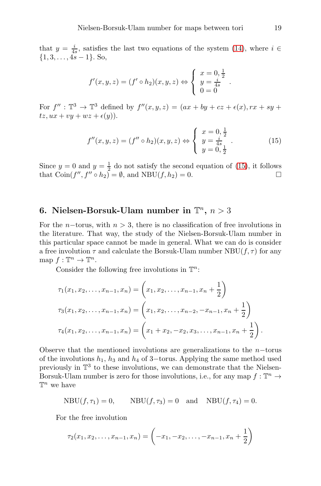that  $y = \frac{i}{4s}$ , satisfies the last two equations of the system [\(14\)](#page-17-0), where  $i \in$  $\{1, 3, \ldots, 4s - 1\}$ . So,

$$
f'(x, y, z) = (f' \circ h_2)(x, y, z) \Leftrightarrow \begin{cases} x = 0, \frac{1}{2} \\ y = \frac{i}{4s} \\ 0 = 0 \end{cases}
$$

For  $f'': \mathbb{T}^3 \to \mathbb{T}^3$  defined by  $f''(x, y, z) = (ax + by + cz + \epsilon(x), rx + sy + z)$  $tz, ux + vy + wz + \epsilon(y)$ ).

<span id="page-18-0"></span>
$$
f''(x, y, z) = (f'' \circ h_2)(x, y, z) \Leftrightarrow \begin{cases} x = 0, \frac{1}{2} \\ y = \frac{i}{4s} \\ y = 0, \frac{1}{2} \end{cases} . \tag{15}
$$

.

Since  $y = 0$  and  $y = \frac{1}{2}$  do not satisfy the second equation of [\(15\)](#page-18-0), it follows that  $\operatorname{Coin}(f'', f'' \circ h_2) = \emptyset$ , and  $\operatorname{NBU}(f, h_2) = 0$ .

## 6. Nielsen-Borsuk-Ulam number in  $\mathbb{T}^n$ ,  $n > 3$

For the n–torus, with  $n > 3$ , there is no classification of free involutions in the literature. That way, the study of the Nielsen-Borsuk-Ulam number in this particular space cannot be made in general. What we can do is consider a free involution  $\tau$  and calculate the Borsuk-Ulam number  $NBU(f, \tau)$  for any map  $f: \mathbb{T}^n \to \mathbb{T}^n$ .

Consider the following free involutions in  $\mathbb{T}^n$ :

$$
\tau_1(x_1, x_2, \dots, x_{n-1}, x_n) = \left(x_1, x_2, \dots, x_{n-1}, x_n + \frac{1}{2}\right)
$$
  

$$
\tau_3(x_1, x_2, \dots, x_{n-1}, x_n) = \left(x_1, x_2, \dots, x_{n-2}, -x_{n-1}, x_n + \frac{1}{2}\right)
$$
  

$$
\tau_4(x_1, x_2, \dots, x_{n-1}, x_n) = \left(x_1 + x_2, -x_2, x_3, \dots, x_{n-1}, x_n + \frac{1}{2}\right).
$$

Observe that the mentioned involutions are generalizations to the  $n$ -torus of the involutions  $h_1$ ,  $h_3$  and  $h_4$  of 3−torus. Applying the same method used previously in  $\mathbb{T}^3$  to these involutions, we can demonstrate that the Nielsen-Borsuk-Ulam number is zero for those involutions, i.e., for any map  $f: \mathbb{T}^n \to$  $\mathbb{T}^n$  we have

$$
NBU(f, \tau_1) = 0, \qquad NBU(f, \tau_3) = 0 \quad \text{and} \quad NBU(f, \tau_4) = 0.
$$

For the free involution

$$
\tau_2(x_1, x_2, \ldots, x_{n-1}, x_n) = \left(-x_1, -x_2, \ldots, -x_{n-1}, x_n + \frac{1}{2}\right)
$$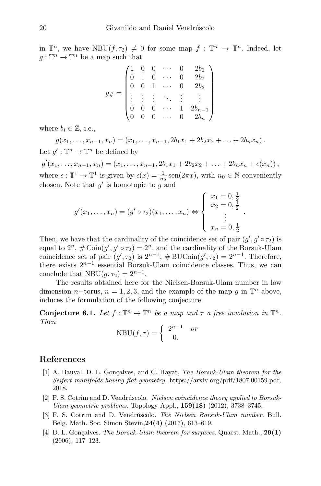in  $\mathbb{T}^n$ , we have  $NBU(f, \tau_2) \neq 0$  for some map  $f : \mathbb{T}^n \to \mathbb{T}^n$ . Indeed, let  $g: \mathbb{T}^n \to \mathbb{T}^n$  be a map such that

$$
g_{\#} = \begin{pmatrix} 1 & 0 & 0 & \cdots & 0 & 2b_1 \\ 0 & 1 & 0 & \cdots & 0 & 2b_2 \\ 0 & 0 & 1 & \cdots & 0 & 2b_3 \\ \vdots & \vdots & \vdots & \ddots & \vdots & \vdots \\ 0 & 0 & 0 & \cdots & 1 & 2b_{n-1} \\ 0 & 0 & 0 & \cdots & 0 & 2b_n \end{pmatrix}
$$

where  $b_i \in \mathbb{Z}$ , i.e.,

$$
g(x_1,...,x_{n-1},x_n) = (x_1,...,x_{n-1}, 2b_1x_1 + 2b_2x_2 + ... + 2b_nx_n).
$$
  
Let  $g': \mathbb{T}^n \to \mathbb{T}^n$  be defined by

 $g'(x_1,\ldots,x_{n-1},x_n)=(x_1,\ldots,x_{n-1},2b_1x_1+2b_2x_2+\ldots+2b_nx_n+\epsilon(x_n)),$ where  $\epsilon : \mathbb{T}^1 \to \mathbb{T}^1$  is given by  $\epsilon(x) = \frac{1}{n_0} \operatorname{sen}(2\pi x)$ , with  $n_0 \in \mathbb{N}$  conveniently chosen. Note that  $g'$  is homotopic to  $g$  and

$$
g'(x_1, ..., x_n) = (g' \circ \tau_2)(x_1, ..., x_n) \Leftrightarrow \begin{cases} x_1 = 0, \frac{1}{2} \\ x_2 = 0, \frac{1}{2} \\ \vdots \\ x_n = 0, \frac{1}{2} \end{cases}
$$

.

Then, we have that the cardinality of the coincidence set of pair  $(g', g' \circ \tau_2)$  is equal to  $2^n$ ,  $\#\operatorname{Coin}(g', g' \circ \tau_2) = 2^n$ , and the cardinality of the Borsuk-Ulam coincidence set of pair  $(g', \tau_2)$  is  $2^{n-1}$ , #BUCoin $(g', \tau_2) = 2^{n-1}$ . Therefore, there exists  $2^{n-1}$  essential Borsuk-Ulam coincidence classes. Thus, we can conclude that  $NBU(g, \tau_2) = 2^{n-1}$ .

The results obtained here for the Nielsen-Borsuk-Ulam number in low dimension *n*−torus, *n* = 1, 2, 3, and the example of the map *g* in  $\mathbb{T}^n$  above, induces the formulation of the following conjecture:

**Conjecture 6.1.** Let  $f : \mathbb{T}^n \to \mathbb{T}^n$  be a map and  $\tau$  a free involution in  $\mathbb{T}^n$ . *Then*

$$
NBU(f,\tau) = \begin{cases} 2^{n-1} & or \\ 0. \end{cases}
$$

#### <span id="page-19-3"></span>References

- [1] A. Bauval, D. L. Gonçalves, and C. Hayat, The Borsuk-Ulam theorem for the Seifert manifolds having flat geometry. https://arxiv.org/pdf/1807.00159.pdf, 2018.
- <span id="page-19-1"></span>[2]  $F. S.$  Cotrim and D. Vendrúscolo. Nielsen coincidence theory applied to Borsuk-Ulam geometric problems. Topology Appl., 159(18) (2012), 3738–3745.
- <span id="page-19-2"></span>[3] F. S. Cotrim and D. Vendrúscolo. The Nielsen Borsuk-Ulam number. Bull. Belg. Math. Soc. Simon Stevin,24(4) (2017), 613–619.
- <span id="page-19-0"></span>[4] D. L. Gonçalves. The Borsuk-Ulam theorem for surfaces. Quaest. Math.,  $29(1)$ (2006), 117–123.